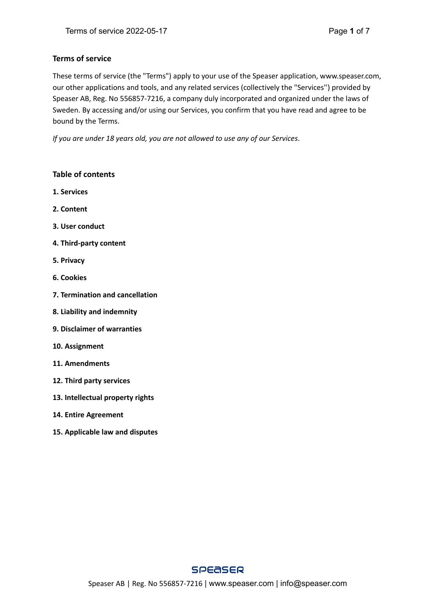# **Terms of service**

These terms of service (the "Terms") apply to your use of the Speaser application, www.speaser.com, our other applications and tools, and any related services (collectively the "Services'') provided by Speaser AB, Reg. No 556857-7216, a company duly incorporated and organized under the laws of Sweden. By accessing and/or using our Services, you confirm that you have read and agree to be bound by the Terms.

*If you are under 18 years old, you are not allowed to use any of our Services*.

# **Table of contents**

- **1. Services**
- **2. Content**
- **3. User conduct**
- **4. Third-party content**
- **5. Privacy**
- **6. Cookies**
- **7. Termination and cancellation**
- **8. Liability and indemnity**
- **9. Disclaimer of warranties**
- **10. Assignment**
- **11. Amendments**
- **12. Third party services**
- **13. Intellectual property rights**
- **14. Entire Agreement**
- **15. Applicable law and disputes**

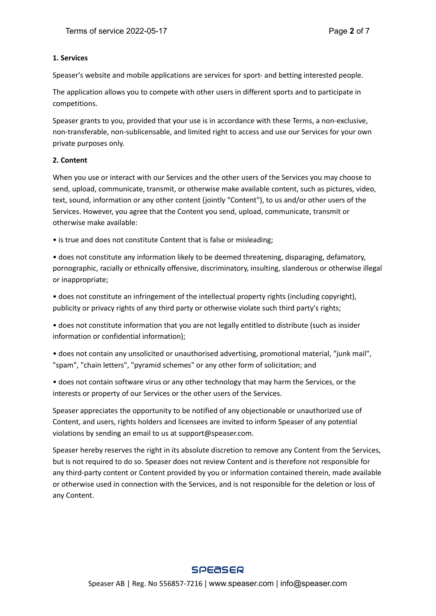#### **1. Services**

Speaser's website and mobile applications are services for sport- and betting interested people.

The application allows you to compete with other users in different sports and to participate in competitions.

Speaser grants to you, provided that your use is in accordance with these Terms, a non-exclusive, non-transferable, non-sublicensable, and limited right to access and use our Services for your own private purposes only.

# **2. Content**

When you use or interact with our Services and the other users of the Services you may choose to send, upload, communicate, transmit, or otherwise make available content, such as pictures, video, text, sound, information or any other content (jointly "Content"), to us and/or other users of the Services. However, you agree that the Content you send, upload, communicate, transmit or otherwise make available:

• is true and does not constitute Content that is false or misleading;

• does not constitute any information likely to be deemed threatening, disparaging, defamatory, pornographic, racially or ethnically offensive, discriminatory, insulting, slanderous or otherwise illegal or inappropriate;

• does not constitute an infringement of the intellectual property rights (including copyright), publicity or privacy rights of any third party or otherwise violate such third party's rights;

• does not constitute information that you are not legally entitled to distribute (such as insider information or confidential information);

• does not contain any unsolicited or unauthorised advertising, promotional material, "junk mail", "spam", "chain letters", "pyramid schemes" or any other form of solicitation; and

• does not contain software virus or any other technology that may harm the Services, or the interests or property of our Services or the other users of the Services.

Speaser appreciates the opportunity to be notified of any objectionable or unauthorized use of Content, and users, rights holders and licensees are invited to inform Speaser of any potential violations by sending an email to us at support@speaser.com.

Speaser hereby reserves the right in its absolute discretion to remove any Content from the Services, but is not required to do so. Speaser does not review Content and is therefore not responsible for any third-party content or Content provided by you or information contained therein, made available or otherwise used in connection with the Services, and is not responsible for the deletion or loss of any Content.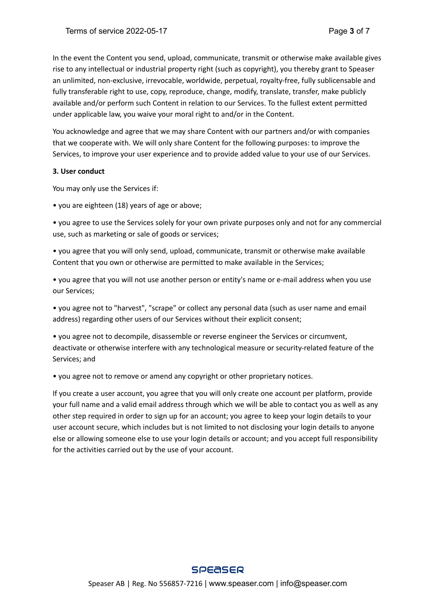In the event the Content you send, upload, communicate, transmit or otherwise make available gives rise to any intellectual or industrial property right (such as copyright), you thereby grant to Speaser an unlimited, non-exclusive, irrevocable, worldwide, perpetual, royalty-free, fully sublicensable and fully transferable right to use, copy, reproduce, change, modify, translate, transfer, make publicly available and/or perform such Content in relation to our Services. To the fullest extent permitted under applicable law, you waive your moral right to and/or in the Content.

You acknowledge and agree that we may share Content with our partners and/or with companies that we cooperate with. We will only share Content for the following purposes: to improve the Services, to improve your user experience and to provide added value to your use of our Services.

#### **3. User conduct**

You may only use the Services if:

• you are eighteen (18) years of age or above;

• you agree to use the Services solely for your own private purposes only and not for any commercial use, such as marketing or sale of goods or services;

• you agree that you will only send, upload, communicate, transmit or otherwise make available Content that you own or otherwise are permitted to make available in the Services;

• you agree that you will not use another person or entity's name or e-mail address when you use our Services;

• you agree not to "harvest", "scrape" or collect any personal data (such as user name and email address) regarding other users of our Services without their explicit consent;

• you agree not to decompile, disassemble or reverse engineer the Services or circumvent, deactivate or otherwise interfere with any technological measure or security-related feature of the Services; and

• you agree not to remove or amend any copyright or other proprietary notices.

If you create a user account, you agree that you will only create one account per platform, provide your full name and a valid email address through which we will be able to contact you as well as any other step required in order to sign up for an account; you agree to keep your login details to your user account secure, which includes but is not limited to not disclosing your login details to anyone else or allowing someone else to use your login details or account; and you accept full responsibility for the activities carried out by the use of your account.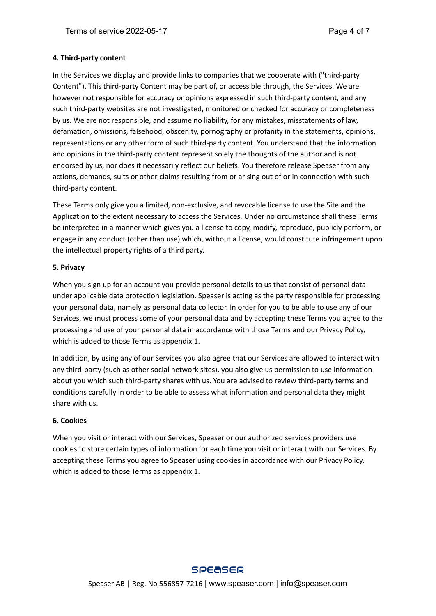#### **4. Third-party content**

In the Services we display and provide links to companies that we cooperate with ("third-party Content"). This third-party Content may be part of, or accessible through, the Services. We are however not responsible for accuracy or opinions expressed in such third-party content, and any such third-party websites are not investigated, monitored or checked for accuracy or completeness by us. We are not responsible, and assume no liability, for any mistakes, misstatements of law, defamation, omissions, falsehood, obscenity, pornography or profanity in the statements, opinions, representations or any other form of such third-party content. You understand that the information and opinions in the third-party content represent solely the thoughts of the author and is not endorsed by us, nor does it necessarily reflect our beliefs. You therefore release Speaser from any actions, demands, suits or other claims resulting from or arising out of or in connection with such third-party content.

These Terms only give you a limited, non-exclusive, and revocable license to use the Site and the Application to the extent necessary to access the Services. Under no circumstance shall these Terms be interpreted in a manner which gives you a license to copy, modify, reproduce, publicly perform, or engage in any conduct (other than use) which, without a license, would constitute infringement upon the intellectual property rights of a third party.

#### **5. Privacy**

When you sign up for an account you provide personal details to us that consist of personal data under applicable data protection legislation. Speaser is acting as the party responsible for processing your personal data, namely as personal data collector. In order for you to be able to use any of our Services, we must process some of your personal data and by accepting these Terms you agree to the processing and use of your personal data in accordance with those Terms and our Privacy Policy, which is added to those Terms as appendix 1.

In addition, by using any of our Services you also agree that our Services are allowed to interact with any third-party (such as other social network sites), you also give us permission to use information about you which such third-party shares with us. You are advised to review third-party terms and conditions carefully in order to be able to assess what information and personal data they might share with us.

# **6. Cookies**

When you visit or interact with our Services, Speaser or our authorized services providers use cookies to store certain types of information for each time you visit or interact with our Services. By accepting these Terms you agree to Speaser using cookies in accordance with our Privacy Policy, which is added to those Terms as appendix 1.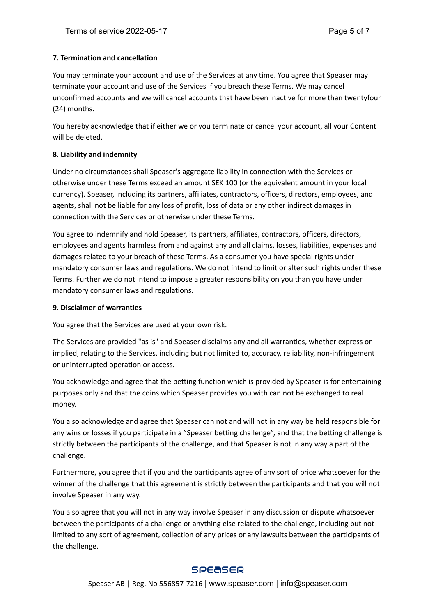# **7. Termination and cancellation**

You may terminate your account and use of the Services at any time. You agree that Speaser may terminate your account and use of the Services if you breach these Terms. We may cancel unconfirmed accounts and we will cancel accounts that have been inactive for more than twentyfour (24) months.

You hereby acknowledge that if either we or you terminate or cancel your account, all your Content will be deleted.

#### **8. Liability and indemnity**

Under no circumstances shall Speaser's aggregate liability in connection with the Services or otherwise under these Terms exceed an amount SEK 100 (or the equivalent amount in your local currency). Speaser, including its partners, affiliates, contractors, officers, directors, employees, and agents, shall not be liable for any loss of profit, loss of data or any other indirect damages in connection with the Services or otherwise under these Terms.

You agree to indemnify and hold Speaser, its partners, affiliates, contractors, officers, directors, employees and agents harmless from and against any and all claims, losses, liabilities, expenses and damages related to your breach of these Terms. As a consumer you have special rights under mandatory consumer laws and regulations. We do not intend to limit or alter such rights under these Terms. Further we do not intend to impose a greater responsibility on you than you have under mandatory consumer laws and regulations.

#### **9. Disclaimer of warranties**

You agree that the Services are used at your own risk.

The Services are provided "as is" and Speaser disclaims any and all warranties, whether express or implied, relating to the Services, including but not limited to, accuracy, reliability, non-infringement or uninterrupted operation or access.

You acknowledge and agree that the betting function which is provided by Speaser is for entertaining purposes only and that the coins which Speaser provides you with can not be exchanged to real money.

You also acknowledge and agree that Speaser can not and will not in any way be held responsible for any wins or losses if you participate in a "Speaser betting challenge", and that the betting challenge is strictly between the participants of the challenge, and that Speaser is not in any way a part of the challenge.

Furthermore, you agree that if you and the participants agree of any sort of price whatsoever for the winner of the challenge that this agreement is strictly between the participants and that you will not involve Speaser in any way.

You also agree that you will not in any way involve Speaser in any discussion or dispute whatsoever between the participants of a challenge or anything else related to the challenge, including but not limited to any sort of agreement, collection of any prices or any lawsuits between the participants of the challenge.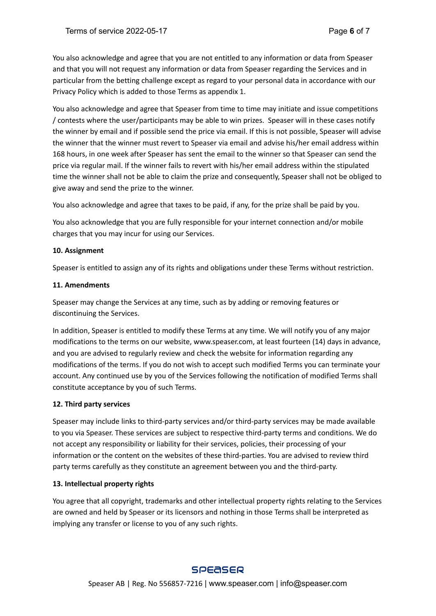You also acknowledge and agree that you are not entitled to any information or data from Speaser and that you will not request any information or data from Speaser regarding the Services and in particular from the betting challenge except as regard to your personal data in accordance with our Privacy Policy which is added to those Terms as appendix 1.

You also acknowledge and agree that Speaser from time to time may initiate and issue competitions / contests where the user/participants may be able to win prizes. Speaser will in these cases notify the winner by email and if possible send the price via email. If this is not possible, Speaser will advise the winner that the winner must revert to Speaser via email and advise his/her email address within 168 hours, in one week after Speaser has sent the email to the winner so that Speaser can send the price via regular mail. If the winner fails to revert with his/her email address within the stipulated time the winner shall not be able to claim the prize and consequently, Speaser shall not be obliged to give away and send the prize to the winner.

You also acknowledge and agree that taxes to be paid, if any, for the prize shall be paid by you.

You also acknowledge that you are fully responsible for your internet connection and/or mobile charges that you may incur for using our Services.

#### **10. Assignment**

Speaser is entitled to assign any of its rights and obligations under these Terms without restriction.

#### **11. Amendments**

Speaser may change the Services at any time, such as by adding or removing features or discontinuing the Services.

In addition, Speaser is entitled to modify these Terms at any time. We will notify you of any major modifications to the terms on our website, www.speaser.com, at least fourteen (14) days in advance, and you are advised to regularly review and check the website for information regarding any modifications of the terms. If you do not wish to accept such modified Terms you can terminate your account. Any continued use by you of the Services following the notification of modified Terms shall constitute acceptance by you of such Terms.

# **12. Third party services**

Speaser may include links to third-party services and/or third-party services may be made available to you via Speaser. These services are subject to respective third-party terms and conditions. We do not accept any responsibility or liability for their services, policies, their processing of your information or the content on the websites of these third-parties. You are advised to review third party terms carefully as they constitute an agreement between you and the third-party.

# **13. Intellectual property rights**

You agree that all copyright, trademarks and other intellectual property rights relating to the Services are owned and held by Speaser or its licensors and nothing in those Terms shall be interpreted as implying any transfer or license to you of any such rights.